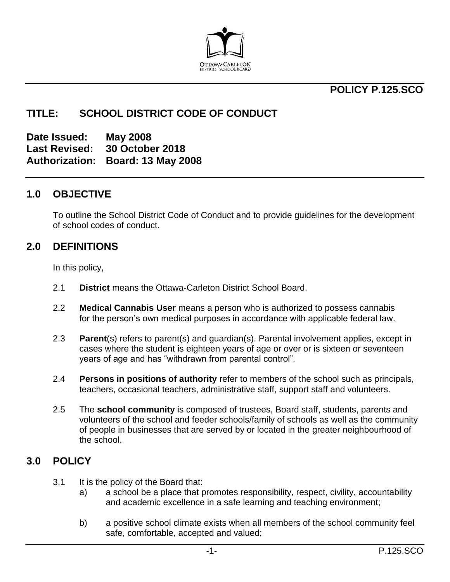

## **POLICY P.125.SCO**

#### **TITLE: SCHOOL DISTRICT CODE OF CONDUCT**

**Date Issued: May 2008 Last Revised: 30 October 2018 Authorization: Board: 13 May 2008**

#### **1.0 OBJECTIVE**

To outline the School District Code of Conduct and to provide guidelines for the development of school codes of conduct.

#### **2.0 DEFINITIONS**

In this policy,

- 2.1 **District** means the Ottawa-Carleton District School Board.
- 2.2 **Medical Cannabis User** means a person who is authorized to possess cannabis for the person's own medical purposes in accordance with applicable federal law.
- 2.3 **Parent**(s) refers to parent(s) and guardian(s). Parental involvement applies, except in cases where the student is eighteen years of age or over or is sixteen or seventeen years of age and has "withdrawn from parental control".
- 2.4 **Persons in positions of authority** refer to members of the school such as principals, teachers, occasional teachers, administrative staff, support staff and volunteers.
- 2.5 The **school community** is composed of trustees, Board staff, students, parents and volunteers of the school and feeder schools/family of schools as well as the community of people in businesses that are served by or located in the greater neighbourhood of the school.

#### **3.0 POLICY**

- 3.1 It is the policy of the Board that:
	- a) a school be a place that promotes responsibility, respect, civility, accountability and academic excellence in a safe learning and teaching environment;
	- b) a positive school climate exists when all members of the school community feel safe, comfortable, accepted and valued;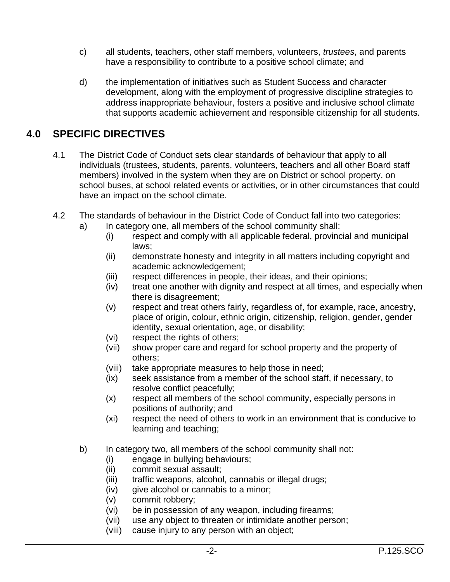- c) all students, teachers, other staff members, volunteers, *trustees*, and parents have a responsibility to contribute to a positive school climate; and
- d) the implementation of initiatives such as Student Success and character development, along with the employment of progressive discipline strategies to address inappropriate behaviour, fosters a positive and inclusive school climate that supports academic achievement and responsible citizenship for all students.

## **4.0 SPECIFIC DIRECTIVES**

- 4.1 The District Code of Conduct sets clear standards of behaviour that apply to all individuals (trustees, students, parents, volunteers, teachers and all other Board staff members) involved in the system when they are on District or school property, on school buses, at school related events or activities, or in other circumstances that could have an impact on the school climate.
- 4.2 The standards of behaviour in the District Code of Conduct fall into two categories:
	- a) In category one, all members of the school community shall:
		- (i) respect and comply with all applicable federal, provincial and municipal laws;
		- (ii) demonstrate honesty and integrity in all matters including copyright and academic acknowledgement;
		- (iii) respect differences in people, their ideas, and their opinions;
		- (iv) treat one another with dignity and respect at all times, and especially when there is disagreement;
		- (v) respect and treat others fairly, regardless of, for example, race, ancestry, place of origin, colour, ethnic origin, citizenship, religion, gender, gender identity, sexual orientation, age, or disability;
		- (vi) respect the rights of others;
		- (vii) show proper care and regard for school property and the property of others;
		- (viii) take appropriate measures to help those in need;
		- (ix) seek assistance from a member of the school staff, if necessary, to resolve conflict peacefully;
		- (x) respect all members of the school community, especially persons in positions of authority; and
		- (xi) respect the need of others to work in an environment that is conducive to learning and teaching;
	- b) In category two, all members of the school community shall not:
		- (i) engage in bullying behaviours;
		- (ii) commit sexual assault;
		- (iii) traffic weapons, alcohol, cannabis or illegal drugs;
		- (iv) give alcohol or cannabis to a minor;
		- (v) commit robbery;
		- (vi) be in possession of any weapon, including firearms;
		- (vii) use any object to threaten or intimidate another person;
		- (viii) cause injury to any person with an object;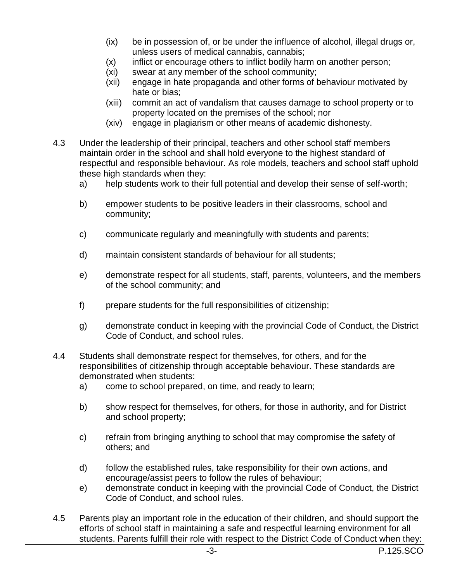- (ix) be in possession of, or be under the influence of alcohol, illegal drugs or, unless users of medical cannabis, cannabis;
- (x) inflict or encourage others to inflict bodily harm on another person;
- (xi) swear at any member of the school community;
- (xii) engage in hate propaganda and other forms of behaviour motivated by hate or bias;
- (xiii) commit an act of vandalism that causes damage to school property or to property located on the premises of the school; nor
- (xiv) engage in plagiarism or other means of academic dishonesty.
- 4.3 Under the leadership of their principal, teachers and other school staff members maintain order in the school and shall hold everyone to the highest standard of respectful and responsible behaviour. As role models, teachers and school staff uphold these high standards when they:
	- a) help students work to their full potential and develop their sense of self-worth;
	- b) empower students to be positive leaders in their classrooms, school and community;
	- c) communicate regularly and meaningfully with students and parents;
	- d) maintain consistent standards of behaviour for all students;
	- e) demonstrate respect for all students, staff, parents, volunteers, and the members of the school community; and
	- f) prepare students for the full responsibilities of citizenship;
	- g) demonstrate conduct in keeping with the provincial Code of Conduct, the District Code of Conduct, and school rules.
- 4.4 Students shall demonstrate respect for themselves, for others, and for the responsibilities of citizenship through acceptable behaviour. These standards are demonstrated when students:
	- a) come to school prepared, on time, and ready to learn;
	- b) show respect for themselves, for others, for those in authority, and for District and school property;
	- c) refrain from bringing anything to school that may compromise the safety of others; and
	- d) follow the established rules, take responsibility for their own actions, and encourage/assist peers to follow the rules of behaviour;
	- e) demonstrate conduct in keeping with the provincial Code of Conduct, the District Code of Conduct, and school rules.
- 4.5 Parents play an important role in the education of their children, and should support the efforts of school staff in maintaining a safe and respectful learning environment for all students. Parents fulfill their role with respect to the District Code of Conduct when they: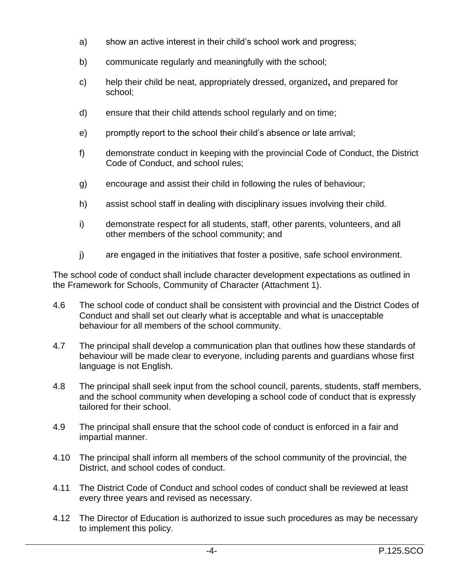- a) show an active interest in their child's school work and progress;
- b) communicate regularly and meaningfully with the school;
- c) help their child be neat, appropriately dressed, organized**,** and prepared for school;
- d) ensure that their child attends school regularly and on time;
- e) promptly report to the school their child's absence or late arrival;
- f) demonstrate conduct in keeping with the provincial Code of Conduct, the District Code of Conduct, and school rules;
- g) encourage and assist their child in following the rules of behaviour;
- h) assist school staff in dealing with disciplinary issues involving their child.
- i) demonstrate respect for all students, staff, other parents, volunteers, and all other members of the school community; and
- j) are engaged in the initiatives that foster a positive, safe school environment.

The school code of conduct shall include character development expectations as outlined in the Framework for Schools, Community of Character (Attachment 1).

- 4.6 The school code of conduct shall be consistent with provincial and the District Codes of Conduct and shall set out clearly what is acceptable and what is unacceptable behaviour for all members of the school community.
- 4.7 The principal shall develop a communication plan that outlines how these standards of behaviour will be made clear to everyone, including parents and guardians whose first language is not English.
- 4.8 The principal shall seek input from the school council, parents, students, staff members, and the school community when developing a school code of conduct that is expressly tailored for their school.
- 4.9 The principal shall ensure that the school code of conduct is enforced in a fair and impartial manner.
- 4.10 The principal shall inform all members of the school community of the provincial, the District, and school codes of conduct.
- 4.11 The District Code of Conduct and school codes of conduct shall be reviewed at least every three years and revised as necessary.
- 4.12 The Director of Education is authorized to issue such procedures as may be necessary to implement this policy.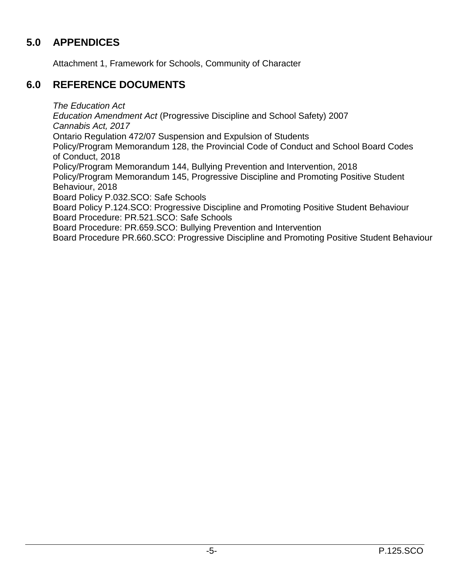# **5.0 APPENDICES**

Attachment 1, Framework for Schools, Community of Character

# **6.0 REFERENCE DOCUMENTS**

*The Education Act*

*Education Amendment Act* (Progressive Discipline and School Safety) 2007 *Cannabis Act, 2017* Ontario Regulation 472/07 Suspension and Expulsion of Students Policy/Program Memorandum 128, the Provincial Code of Conduct and School Board Codes of Conduct, 2018 Policy/Program Memorandum 144, Bullying Prevention and Intervention, 2018 Policy/Program Memorandum 145, Progressive Discipline and Promoting Positive Student Behaviour, 2018 Board Policy P.032.SCO: Safe Schools Board Policy P.124.SCO: Progressive Discipline and Promoting Positive Student Behaviour Board Procedure: PR.521.SCO: Safe Schools

Board Procedure: PR.659.SCO: Bullying Prevention and Intervention

Board Procedure PR.660.SCO: Progressive Discipline and Promoting Positive Student Behaviour